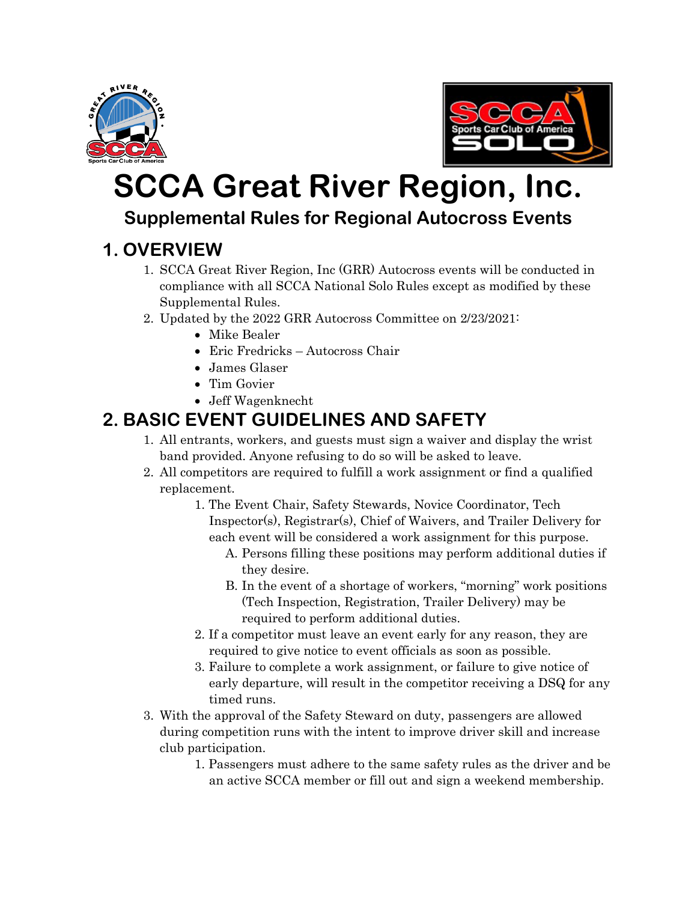



## **SCCA Great River Region, Inc.**

#### **Supplemental Rules for Regional Autocross Events**

## **1. OVERVIEW**

- 1. SCCA Great River Region, Inc (GRR) Autocross events will be conducted in compliance with all SCCA National Solo Rules except as modified by these Supplemental Rules.
- 2. Updated by the 2022 GRR Autocross Committee on 2/23/2021:
	- Mike Bealer
	- Eric Fredricks Autocross Chair
	- James Glaser
	- Tim Govier
	- Jeff Wagenknecht

## **2. BASIC EVENT GUIDELINES AND SAFETY**

- 1. All entrants, workers, and guests must sign a waiver and display the wrist band provided. Anyone refusing to do so will be asked to leave.
- 2. All competitors are required to fulfill a work assignment or find a qualified replacement.
	- 1. The Event Chair, Safety Stewards, Novice Coordinator, Tech Inspector(s), Registrar(s), Chief of Waivers, and Trailer Delivery for each event will be considered a work assignment for this purpose.
		- A. Persons filling these positions may perform additional duties if they desire.
		- B. In the event of a shortage of workers, "morning" work positions (Tech Inspection, Registration, Trailer Delivery) may be required to perform additional duties.
	- 2. If a competitor must leave an event early for any reason, they are required to give notice to event officials as soon as possible.
	- 3. Failure to complete a work assignment, or failure to give notice of early departure, will result in the competitor receiving a DSQ for any timed runs.
- 3. With the approval of the Safety Steward on duty, passengers are allowed during competition runs with the intent to improve driver skill and increase club participation.
	- 1. Passengers must adhere to the same safety rules as the driver and be an active SCCA member or fill out and sign a weekend membership.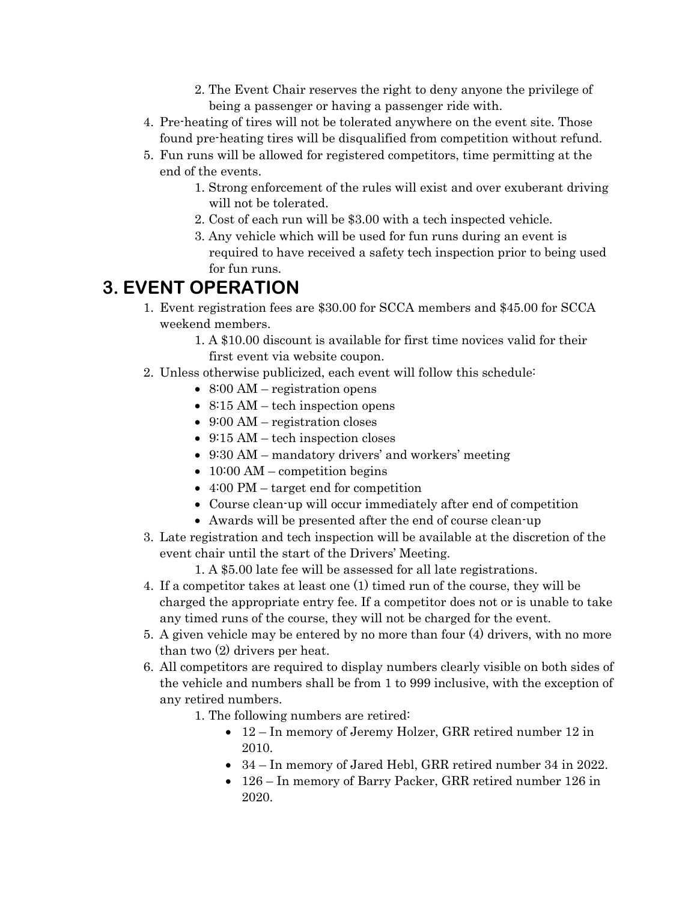- 2. The Event Chair reserves the right to deny anyone the privilege of being a passenger or having a passenger ride with.
- 4. Pre-heating of tires will not be tolerated anywhere on the event site. Those found pre-heating tires will be disqualified from competition without refund.
- 5. Fun runs will be allowed for registered competitors, time permitting at the end of the events.
	- 1. Strong enforcement of the rules will exist and over exuberant driving will not be tolerated.
	- 2. Cost of each run will be \$3.00 with a tech inspected vehicle.
	- 3. Any vehicle which will be used for fun runs during an event is required to have received a safety tech inspection prior to being used for fun runs.

#### **3. EVENT OPERATION**

- 1. Event registration fees are \$30.00 for SCCA members and \$45.00 for SCCA weekend members.
	- 1. A \$10.00 discount is available for first time novices valid for their first event via website coupon.
- 2. Unless otherwise publicized, each event will follow this schedule:
	- 8:00 AM registration opens
	- 8:15 AM tech inspection opens
	- 9:00 AM registration closes
	- 9:15 AM tech inspection closes
	- 9:30 AM mandatory drivers' and workers' meeting
	- $10:00$  AM competition begins
	- 4:00 PM target end for competition
	- Course clean-up will occur immediately after end of competition
	- Awards will be presented after the end of course clean-up
- 3. Late registration and tech inspection will be available at the discretion of the event chair until the start of the Drivers' Meeting.
	- 1. A \$5.00 late fee will be assessed for all late registrations.
- 4. If a competitor takes at least one (1) timed run of the course, they will be charged the appropriate entry fee. If a competitor does not or is unable to take any timed runs of the course, they will not be charged for the event.
- 5. A given vehicle may be entered by no more than four (4) drivers, with no more than two (2) drivers per heat.
- 6. All competitors are required to display numbers clearly visible on both sides of the vehicle and numbers shall be from 1 to 999 inclusive, with the exception of any retired numbers.
	- 1. The following numbers are retired:
		- 12 In memory of Jeremy Holzer, GRR retired number 12 in 2010.
		- 34 In memory of Jared Hebl, GRR retired number 34 in 2022.
		- 126 In memory of Barry Packer, GRR retired number 126 in 2020.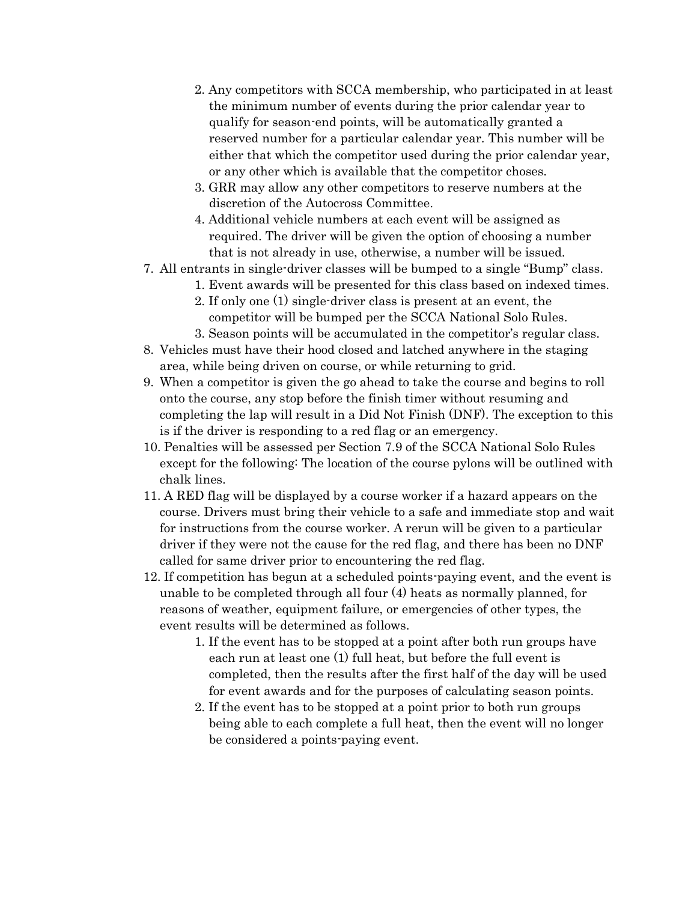- 2. Any competitors with SCCA membership, who participated in at least the minimum number of events during the prior calendar year to qualify for season-end points, will be automatically granted a reserved number for a particular calendar year. This number will be either that which the competitor used during the prior calendar year, or any other which is available that the competitor choses.
- 3. GRR may allow any other competitors to reserve numbers at the discretion of the Autocross Committee.
- 4. Additional vehicle numbers at each event will be assigned as required. The driver will be given the option of choosing a number that is not already in use, otherwise, a number will be issued.
- 7. All entrants in single-driver classes will be bumped to a single "Bump" class.
	- 1. Event awards will be presented for this class based on indexed times.
	- 2. If only one (1) single-driver class is present at an event, the competitor will be bumped per the SCCA National Solo Rules.
	- 3. Season points will be accumulated in the competitor's regular class.
- 8. Vehicles must have their hood closed and latched anywhere in the staging area, while being driven on course, or while returning to grid.
- 9. When a competitor is given the go ahead to take the course and begins to roll onto the course, any stop before the finish timer without resuming and completing the lap will result in a Did Not Finish (DNF). The exception to this is if the driver is responding to a red flag or an emergency.
- 10. Penalties will be assessed per Section 7.9 of the SCCA National Solo Rules except for the following: The location of the course pylons will be outlined with chalk lines.
- 11. A RED flag will be displayed by a course worker if a hazard appears on the course. Drivers must bring their vehicle to a safe and immediate stop and wait for instructions from the course worker. A rerun will be given to a particular driver if they were not the cause for the red flag, and there has been no DNF called for same driver prior to encountering the red flag.
- 12. If competition has begun at a scheduled points-paying event, and the event is unable to be completed through all four (4) heats as normally planned, for reasons of weather, equipment failure, or emergencies of other types, the event results will be determined as follows.
	- 1. If the event has to be stopped at a point after both run groups have each run at least one (1) full heat, but before the full event is completed, then the results after the first half of the day will be used for event awards and for the purposes of calculating season points.
	- 2. If the event has to be stopped at a point prior to both run groups being able to each complete a full heat, then the event will no longer be considered a points-paying event.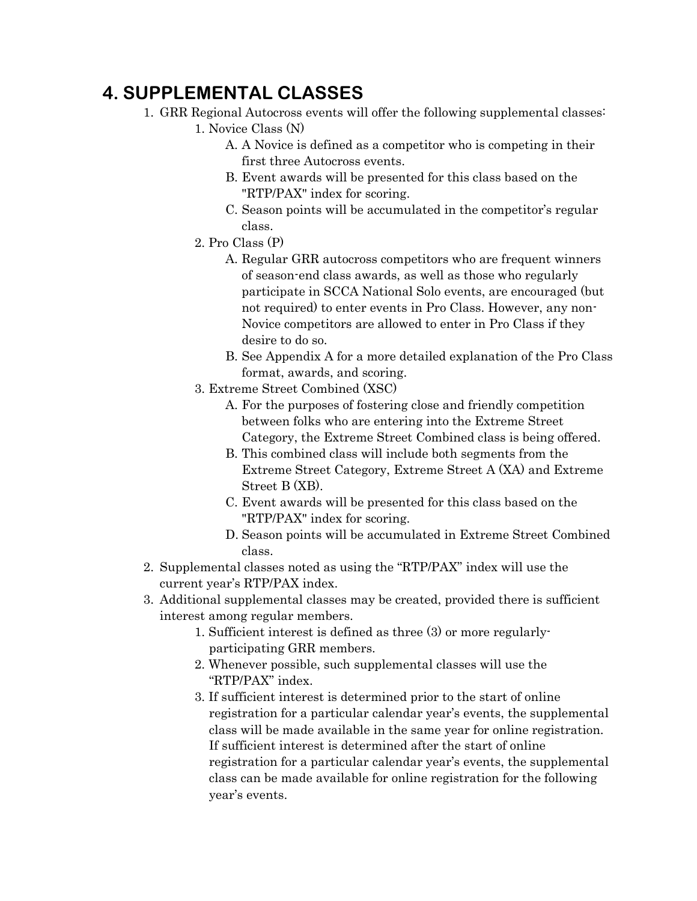#### **4. SUPPLEMENTAL CLASSES**

- 1. GRR Regional Autocross events will offer the following supplemental classes:
	- 1. Novice Class (N)
		- A. A Novice is defined as a competitor who is competing in their first three Autocross events.
		- B. Event awards will be presented for this class based on the "RTP/PAX" index for scoring.
		- C. Season points will be accumulated in the competitor's regular class.
	- 2. Pro Class (P)
		- A. Regular GRR autocross competitors who are frequent winners of season-end class awards, as well as those who regularly participate in SCCA National Solo events, are encouraged (but not required) to enter events in Pro Class. However, any non-Novice competitors are allowed to enter in Pro Class if they desire to do so.
		- B. See Appendix A for a more detailed explanation of the Pro Class format, awards, and scoring.
	- 3. Extreme Street Combined (XSC)
		- A. For the purposes of fostering close and friendly competition between folks who are entering into the Extreme Street Category, the Extreme Street Combined class is being offered.
		- B. This combined class will include both segments from the Extreme Street Category, Extreme Street A (XA) and Extreme Street B (XB).
		- C. Event awards will be presented for this class based on the "RTP/PAX" index for scoring.
		- D. Season points will be accumulated in Extreme Street Combined class.
- 2. Supplemental classes noted as using the "RTP/PAX" index will use the current year's RTP/PAX index.
- 3. Additional supplemental classes may be created, provided there is sufficient interest among regular members.
	- 1. Sufficient interest is defined as three (3) or more regularlyparticipating GRR members.
	- 2. Whenever possible, such supplemental classes will use the "RTP/PAX" index.
	- 3. If sufficient interest is determined prior to the start of online registration for a particular calendar year's events, the supplemental class will be made available in the same year for online registration. If sufficient interest is determined after the start of online registration for a particular calendar year's events, the supplemental class can be made available for online registration for the following year's events.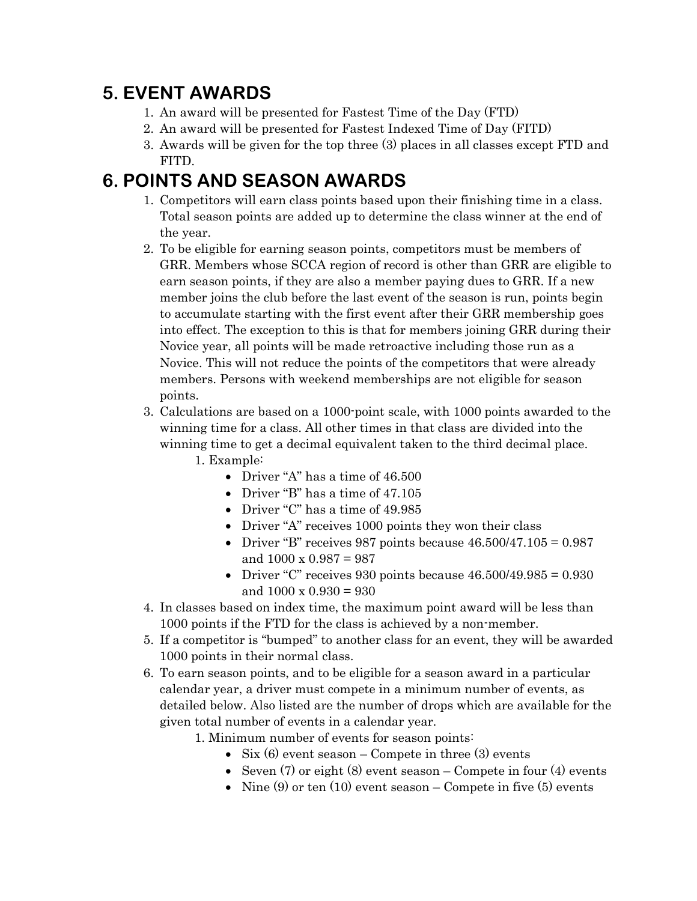#### **5. EVENT AWARDS**

- 1. An award will be presented for Fastest Time of the Day (FTD)
- 2. An award will be presented for Fastest Indexed Time of Day (FITD)
- 3. Awards will be given for the top three (3) places in all classes except FTD and FITD.

#### **6. POINTS AND SEASON AWARDS**

- 1. Competitors will earn class points based upon their finishing time in a class. Total season points are added up to determine the class winner at the end of the year.
- 2. To be eligible for earning season points, competitors must be members of GRR. Members whose SCCA region of record is other than GRR are eligible to earn season points, if they are also a member paying dues to GRR. If a new member joins the club before the last event of the season is run, points begin to accumulate starting with the first event after their GRR membership goes into effect. The exception to this is that for members joining GRR during their Novice year, all points will be made retroactive including those run as a Novice. This will not reduce the points of the competitors that were already members. Persons with weekend memberships are not eligible for season points.
- 3. Calculations are based on a 1000-point scale, with 1000 points awarded to the winning time for a class. All other times in that class are divided into the winning time to get a decimal equivalent taken to the third decimal place.
	- 1. Example:
		- Driver "A" has a time of 46.500
		- Driver "B" has a time of 47.105
		- Driver "C" has a time of 49.985
		- Driver "A" receives 1000 points they won their class
		- Driver "B" receives 987 points because  $46.500/47.105 = 0.987$ and 1000 x 0.987 = 987
		- Driver "C" receives 930 points because  $46.500/49.985 = 0.930$ and  $1000 \times 0.930 = 930$
- 4. In classes based on index time, the maximum point award will be less than 1000 points if the FTD for the class is achieved by a non-member.
- 5. If a competitor is "bumped" to another class for an event, they will be awarded 1000 points in their normal class.
- 6. To earn season points, and to be eligible for a season award in a particular calendar year, a driver must compete in a minimum number of events, as detailed below. Also listed are the number of drops which are available for the given total number of events in a calendar year.

1. Minimum number of events for season points:

- Six  $(6)$  event season Compete in three  $(3)$  events
- Seven  $(7)$  or eight  $(8)$  event season Compete in four  $(4)$  events
- Nine  $(9)$  or ten  $(10)$  event season Compete in five  $(5)$  events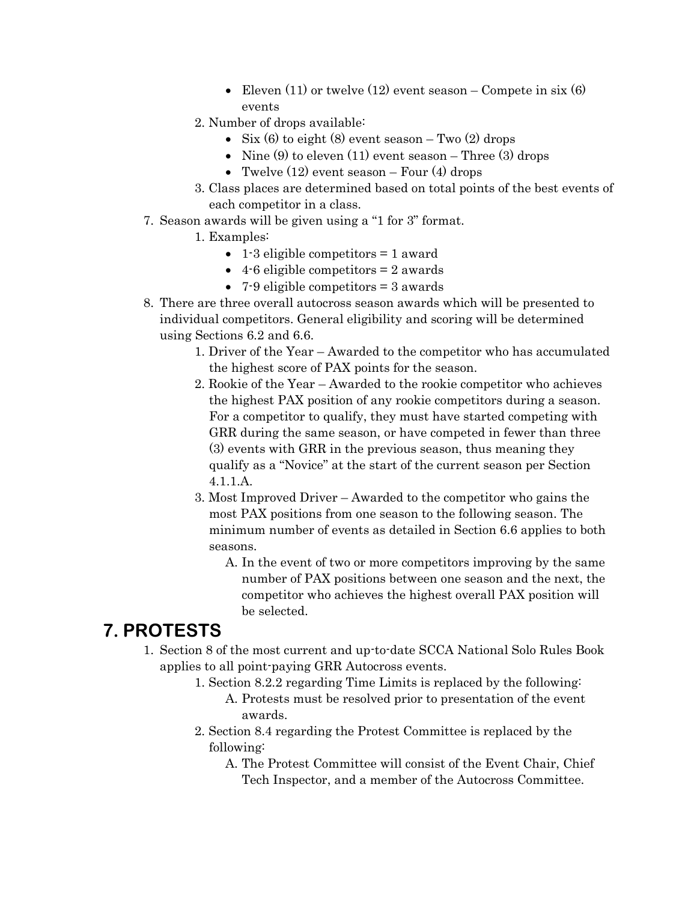- Eleven  $(11)$  or twelve  $(12)$  event season Compete in six  $(6)$ events
- 2. Number of drops available:
	- Six (6) to eight (8) event season Two  $(2)$  drops
	- Nine  $(9)$  to eleven  $(11)$  event season Three  $(3)$  drops
	- Twelve  $(12)$  event season Four  $(4)$  drops
- 3. Class places are determined based on total points of the best events of each competitor in a class.
- 7. Season awards will be given using a "1 for 3" format.
	- 1. Examples:
		- 1-3 eligible competitors = 1 award
		- 4-6 eligible competitors  $= 2$  awards
		- 7-9 eligible competitors = 3 awards
- 8. There are three overall autocross season awards which will be presented to individual competitors. General eligibility and scoring will be determined using Sections 6.2 and 6.6.
	- 1. Driver of the Year Awarded to the competitor who has accumulated the highest score of PAX points for the season.
	- 2. Rookie of the Year Awarded to the rookie competitor who achieves the highest PAX position of any rookie competitors during a season. For a competitor to qualify, they must have started competing with GRR during the same season, or have competed in fewer than three (3) events with GRR in the previous season, thus meaning they qualify as a "Novice" at the start of the current season per Section 4.1.1.A.
	- 3. Most Improved Driver Awarded to the competitor who gains the most PAX positions from one season to the following season. The minimum number of events as detailed in Section 6.6 applies to both seasons.
		- A. In the event of two or more competitors improving by the same number of PAX positions between one season and the next, the competitor who achieves the highest overall PAX position will be selected.

#### **7. PROTESTS**

- 1. Section 8 of the most current and up-to-date SCCA National Solo Rules Book applies to all point-paying GRR Autocross events.
	- 1. Section 8.2.2 regarding Time Limits is replaced by the following: A. Protests must be resolved prior to presentation of the event awards.
	- 2. Section 8.4 regarding the Protest Committee is replaced by the following:
		- A. The Protest Committee will consist of the Event Chair, Chief Tech Inspector, and a member of the Autocross Committee.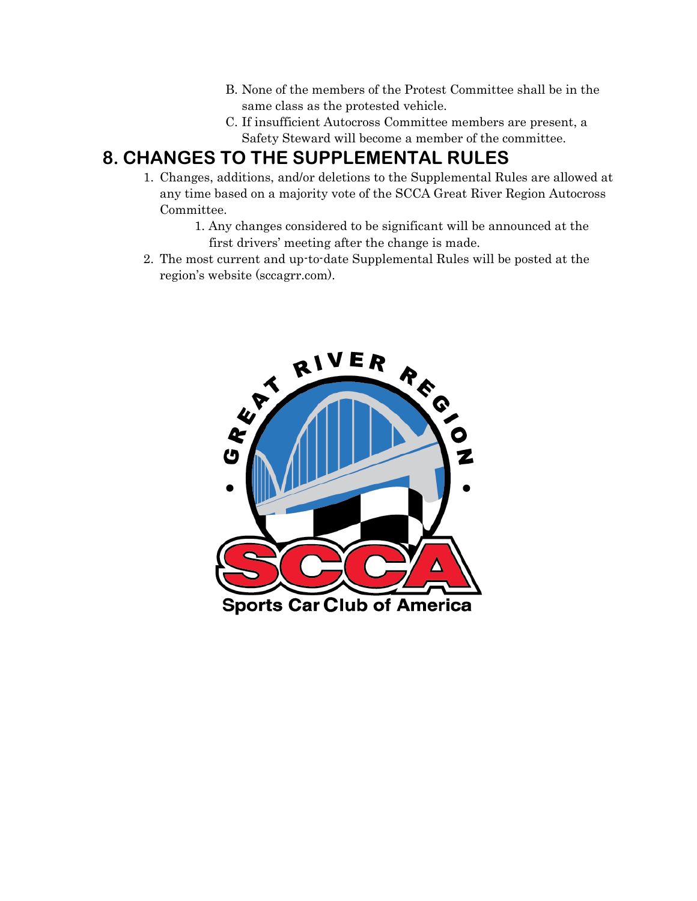- B. None of the members of the Protest Committee shall be in the same class as the protested vehicle.
- C. If insufficient Autocross Committee members are present, a Safety Steward will become a member of the committee.

#### **8. CHANGES TO THE SUPPLEMENTAL RULES**

- 1. Changes, additions, and/or deletions to the Supplemental Rules are allowed at any time based on a majority vote of the SCCA Great River Region Autocross Committee.
	- 1. Any changes considered to be significant will be announced at the first drivers' meeting after the change is made.
- 2. The most current and up-to-date Supplemental Rules will be posted at the region's website (sccagrr.com).

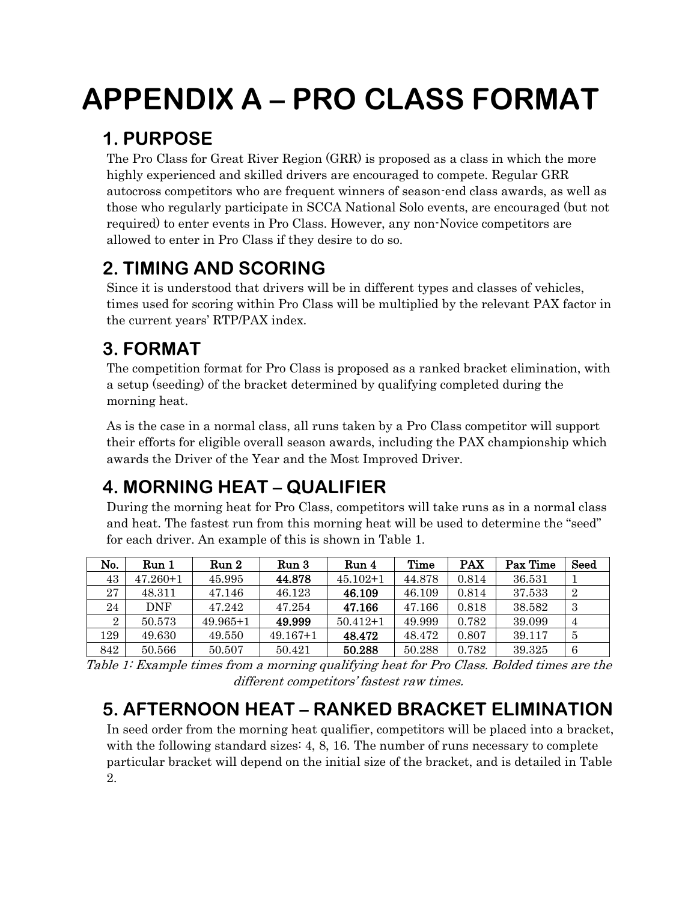# **APPENDIX A – PRO CLASS FORMAT**

## **1. PURPOSE**

The Pro Class for Great River Region (GRR) is proposed as a class in which the more highly experienced and skilled drivers are encouraged to compete. Regular GRR autocross competitors who are frequent winners of season-end class awards, as well as those who regularly participate in SCCA National Solo events, are encouraged (but not required) to enter events in Pro Class. However, any non-Novice competitors are allowed to enter in Pro Class if they desire to do so.

## **2. TIMING AND SCORING**

Since it is understood that drivers will be in different types and classes of vehicles, times used for scoring within Pro Class will be multiplied by the relevant PAX factor in the current years' RTP/PAX index.

## **3. FORMAT**

The competition format for Pro Class is proposed as a ranked bracket elimination, with a setup (seeding) of the bracket determined by qualifying completed during the morning heat.

As is the case in a normal class, all runs taken by a Pro Class competitor will support their efforts for eligible overall season awards, including the PAX championship which awards the Driver of the Year and the Most Improved Driver.

## **4. MORNING HEAT – QUALIFIER**

During the morning heat for Pro Class, competitors will take runs as in a normal class and heat. The fastest run from this morning heat will be used to determine the "seed" for each driver. An example of this is shown in Table 1.

| No.            | Run 1        | Run 2        | Run 3        | Run 4        | Time   | <b>PAX</b> | Pax Time | Seed           |
|----------------|--------------|--------------|--------------|--------------|--------|------------|----------|----------------|
| 43             | $47.260 + 1$ | 45.995       | 44.878       | $45.102 + 1$ | 44.878 | 0.814      | 36.531   |                |
| 27             | 48.311       | 47.146       | 46.123       | 46.109       | 46.109 | 0.814      | 37.533   | $\overline{2}$ |
| 24             | <b>DNF</b>   | 47.242       | 47.254       | 47.166       | 47.166 | 0.818      | 38.582   | 3              |
| $\overline{2}$ | 50.573       | $49.965 + 1$ | 49.999       | $50.412+1$   | 49.999 | 0.782      | 39.099   | $\overline{4}$ |
| 129            | 49.630       | 49.550       | $49.167 + 1$ | 48.472       | 48.472 | 0.807      | 39.117   | 5              |
| 842            | 50.566       | 50.507       | 50.421       | 50.288       | 50.288 | 0.782      | 39.325   | 6              |

Table 1: Example times from a morning qualifying heat for Pro Class. Bolded times are the different competitors' fastest raw times.

## **5. AFTERNOON HEAT – RANKED BRACKET ELIMINATION**

In seed order from the morning heat qualifier, competitors will be placed into a bracket, with the following standard sizes: 4, 8, 16. The number of runs necessary to complete particular bracket will depend on the initial size of the bracket, and is detailed in Table 2.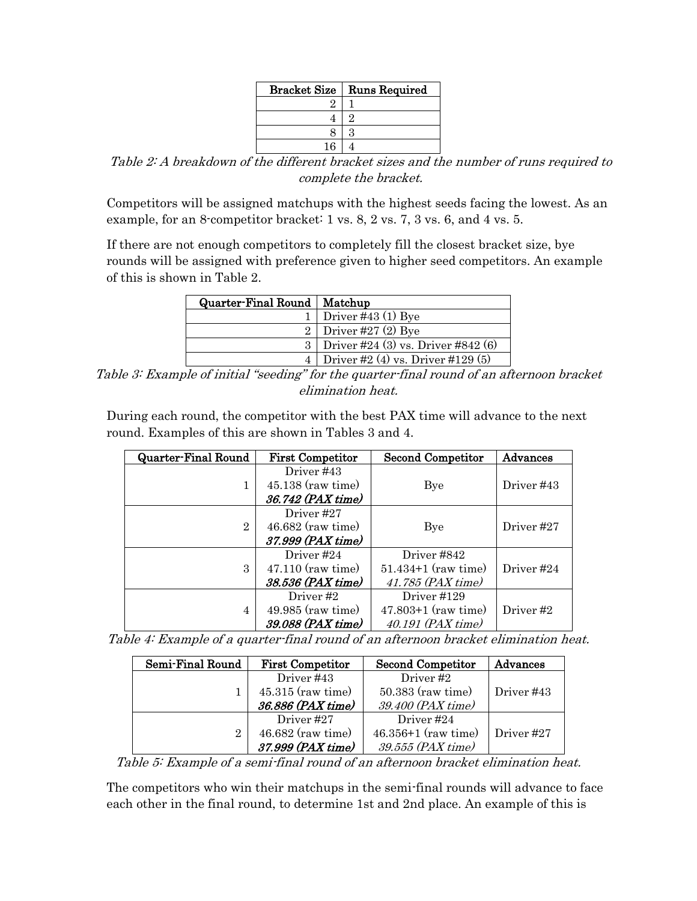| <b>Bracket Size</b> | <b>Runs Required</b> |
|---------------------|----------------------|
|                     |                      |
|                     |                      |
|                     |                      |
| 1 ፎ                 |                      |

Table 2: A breakdown of the different bracket sizes and the number of runs required to complete the bracket.

Competitors will be assigned matchups with the highest seeds facing the lowest. As an example, for an 8-competitor bracket: 1 vs. 8, 2 vs. 7, 3 vs. 6, and 4 vs. 5.

If there are not enough competitors to completely fill the closest bracket size, bye rounds will be assigned with preference given to higher seed competitors. An example of this is shown in Table 2.

| Quarter-Final Round   Matchup |                                        |
|-------------------------------|----------------------------------------|
|                               | Driver #43 $(1)$ Bye                   |
|                               | Driver #27 $(2)$ Bye                   |
|                               | Driver #24 $(3)$ vs. Driver #842 $(6)$ |
|                               | Driver #2 $(4)$ vs. Driver #129 $(5)$  |

Table 3: Example of initial "seeding" for the quarter-final round of an afternoon bracket elimination heat.

During each round, the competitor with the best PAX time will advance to the next round. Examples of this are shown in Tables 3 and 4.

| <b>Quarter-Final Round</b> | <b>First Competitor</b> | Second Competitor       | Advances   |
|----------------------------|-------------------------|-------------------------|------------|
|                            | Driver #43              |                         |            |
|                            | $45.138$ (raw time)     | Bye                     | Driver #43 |
|                            | 36.742 (PAX time)       |                         |            |
|                            | Driver #27              |                         |            |
| $\overline{2}$             | $46.682$ (raw time)     | Bye                     | Driver #27 |
|                            | 37.999 (PAX time)       |                         |            |
|                            | Driver #24              | Driver #842             |            |
| 3                          | $47.110$ (raw time)     | $51.434 + 1$ (raw time) | Driver #24 |
|                            | 38.536 (PAX time)       | 41.785 (PAX time)       |            |
|                            | Driver#2                | Driver #129             |            |
| 4                          | 49.985 (raw time)       | $47.803 + 1$ (raw time) | Driver#2   |
|                            | 39.088 (PAX time)       | 40.191 (PAX time)       |            |

Table 4: Example of a quarter-final round of an afternoon bracket elimination heat.

| Semi-Final Round | <b>First Competitor</b> | <b>Second Competitor</b> | Advances   |
|------------------|-------------------------|--------------------------|------------|
|                  | Driver #43              | Driver#2                 |            |
|                  | $45.315$ (raw time)     | $50.383$ (raw time)      | Driver #43 |
|                  | 36.886 (PAX time)       | 39.400 (PAX time)        |            |
|                  | Driver #27              | Driver #24               |            |
| 2                | 46.682 (raw time)       | $46.356 + 1$ (raw time)  | Driver #27 |
|                  | 37.999 (PAX time)       | 39.555 (PAX time)        |            |

Table 5: Example of a semi-final round of an afternoon bracket elimination heat.

The competitors who win their matchups in the semi-final rounds will advance to face each other in the final round, to determine 1st and 2nd place. An example of this is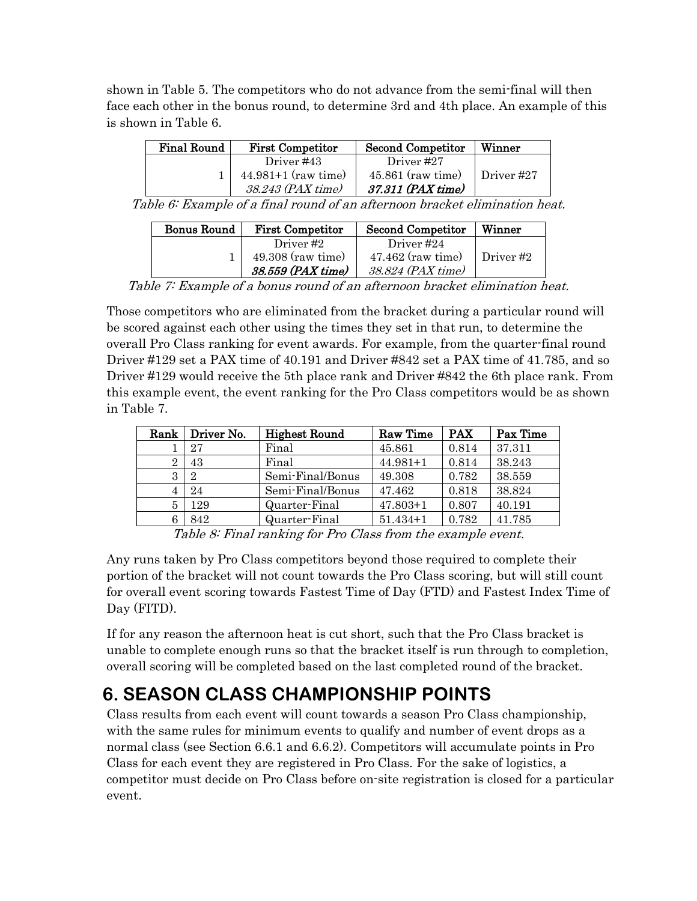shown in Table 5. The competitors who do not advance from the semi-final will then face each other in the bonus round, to determine 3rd and 4th place. An example of this is shown in Table 6.

| <b>Final Round</b> | <b>First Competitor</b> | <b>Second Competitor</b> | Winner       |
|--------------------|-------------------------|--------------------------|--------------|
|                    | Driver #43              | Driver #27               |              |
|                    | $44.981+1$ (raw time)   | $45.861$ (raw time)      | ∣ Driver #27 |
|                    | 38.243 (PAX time)       | 37.311 (PAX time)        |              |

Table 6: Example of a final round of an afternoon bracket elimination heat.

| <b>Bonus Round</b> | <b>First Competitor</b> | <b>Second Competitor</b> | Winner    |
|--------------------|-------------------------|--------------------------|-----------|
|                    | Driver #2               | Driver #24               |           |
|                    | $49.308$ (raw time)     | $47.462$ (raw time)      | Driver #2 |
|                    | 38.559 (PAX time)       | 38.824 (PAX time)        |           |

Table 7: Example of a bonus round of an afternoon bracket elimination heat.

Those competitors who are eliminated from the bracket during a particular round will be scored against each other using the times they set in that run, to determine the overall Pro Class ranking for event awards. For example, from the quarter-final round Driver #129 set a PAX time of 40.191 and Driver #842 set a PAX time of 41.785, and so Driver #129 would receive the 5th place rank and Driver #842 the 6th place rank. From this example event, the event ranking for the Pro Class competitors would be as shown in Table 7.

| Rank | Driver No. | <b>Highest Round</b> | Raw Time     | <b>PAX</b> | Pax Time |
|------|------------|----------------------|--------------|------------|----------|
|      | 27         | Final                | 45.861       | 0.814      | 37.311   |
| 2    | 43         | Final                | $44.981 + 1$ | 0.814      | 38.243   |
| 3    | 2          | Semi-Final/Bonus     | 49.308       | 0.782      | 38.559   |
|      | 24         | Semi-Final/Bonus     | 47.462       | 0.818      | 38.824   |
| 5    | 129        | Quarter-Final        | $47.803 + 1$ | 0.807      | 40.191   |
|      | 842        | Quarter-Final        | $51.434 + 1$ | 0.782      | 41.785   |

Table 8: Final ranking for Pro Class from the example event.

Any runs taken by Pro Class competitors beyond those required to complete their portion of the bracket will not count towards the Pro Class scoring, but will still count for overall event scoring towards Fastest Time of Day (FTD) and Fastest Index Time of Day (FITD).

If for any reason the afternoon heat is cut short, such that the Pro Class bracket is unable to complete enough runs so that the bracket itself is run through to completion, overall scoring will be completed based on the last completed round of the bracket.

## **6. SEASON CLASS CHAMPIONSHIP POINTS**

Class results from each event will count towards a season Pro Class championship, with the same rules for minimum events to qualify and number of event drops as a normal class (see Section 6.6.1 and 6.6.2). Competitors will accumulate points in Pro Class for each event they are registered in Pro Class. For the sake of logistics, a competitor must decide on Pro Class before on-site registration is closed for a particular event.